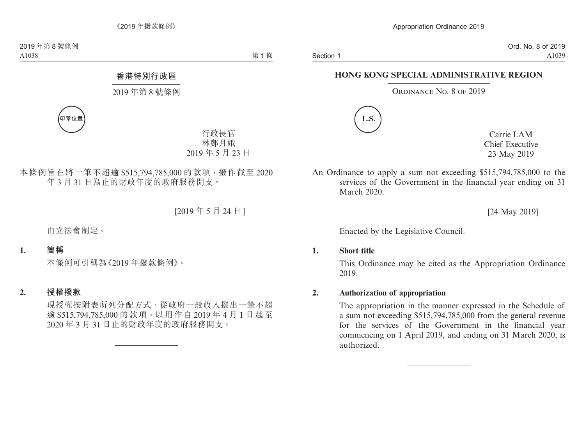# **HONG KONG SPECIAL ADMINISTRATIVE REGION**

#### ORDINANCE NO. 8 OF 2019



Carrie LAM Chief Executive 23 May 2019

An Ordinance to apply a sum not exceeding \$515,794,785,000 to the services of the Government in the financial year ending on 31 March 2020

[24 May 2019]

Enacted by the Legislative Council.

**1. Short title**

This Ordinance may be cited as the Appropriation Ordinance 2019.

**2. Authorization of appropriation**

The appropriation in the manner expressed in the Schedule of a sum not exceeding \$515,794,785,000 from the general revenue for the services of the Government in the financial year commencing on 1 April 2019, and ending on 31 March 2020, is authorized.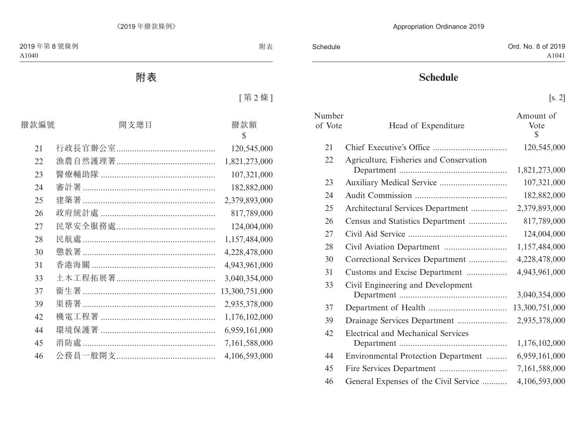# **Schedule**

| Number<br>of Vote | Head of Expenditure                       | Amount of<br>Vote<br>$\mathbb{S}$ |
|-------------------|-------------------------------------------|-----------------------------------|
| 21                |                                           | 120,545,000                       |
| 22                | Agriculture, Fisheries and Conservation   | 1,821,273,000                     |
| 23                |                                           | 107,321,000                       |
| 24                |                                           | 182,882,000                       |
| 25                | Architectural Services Department         | 2,379,893,000                     |
| 26                | Census and Statistics Department          | 817,789,000                       |
| 27                |                                           | 124,004,000                       |
| 28                |                                           | 1,157,484,000                     |
| 30                | Correctional Services Department          | 4,228,478,000                     |
| 31                | Customs and Excise Department             | 4,943,961,000                     |
| 33                | Civil Engineering and Development         | 3,040,354,000                     |
| 37                |                                           | 13,300,751,000                    |
| 39                | Drainage Services Department              | 2,935,378,000                     |
| 42                | <b>Electrical and Mechanical Services</b> |                                   |
|                   |                                           | 1,176,102,000                     |
| 44                | Environmental Protection Department       | 6,959,161,000                     |
| 45                |                                           | 7,161,588,000                     |
| 46                | General Expenses of the Civil Service     | 4,106,593,000                     |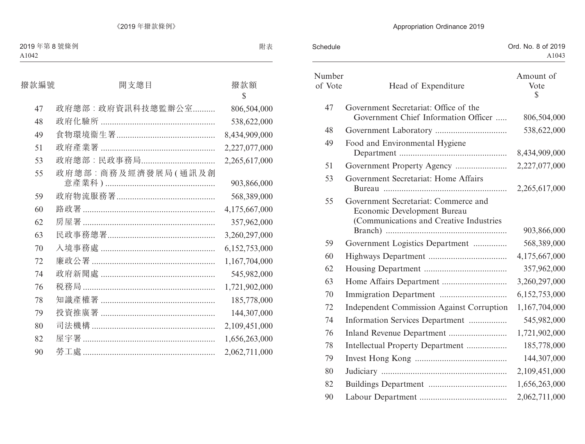| Schedule          |                                                                                                                | Ord. No. 8 of 2019<br>A1043       |
|-------------------|----------------------------------------------------------------------------------------------------------------|-----------------------------------|
| Number<br>of Vote | Head of Expenditure                                                                                            | Amount of<br>Vote<br>$\mathbb{S}$ |
| 47                | Government Secretariat: Office of the<br>Government Chief Information Officer                                  | 806,504,000                       |
| 48                |                                                                                                                | 538,622,000                       |
| 49                | Food and Environmental Hygiene                                                                                 | 8,434,909,000                     |
| 51                |                                                                                                                | 2,227,077,000                     |
| 53                | Government Secretariat: Home Affairs                                                                           | 2,265,617,000                     |
| 55                | Government Secretariat: Commerce and<br>Economic Development Bureau<br>(Communications and Creative Industries | 903,866,000                       |
| 59                | Government Logistics Department                                                                                | 568,389,000                       |
| 60                |                                                                                                                | 4,175,667,000                     |
| 62                |                                                                                                                | 357,962,000                       |
| 63                |                                                                                                                | 3,260,297,000                     |
| 70                |                                                                                                                | 6,152,753,000                     |
| 72                | <b>Independent Commission Against Corruption</b>                                                               | 1,167,704,000                     |
| 74                | Information Services Department                                                                                | 545,982,000                       |
| 76                |                                                                                                                | 1,721,902,000                     |
| 78                | Intellectual Property Department                                                                               | 185,778,000                       |
| 79                |                                                                                                                | 144,307,000                       |
| 80                |                                                                                                                | 2,109,451,000                     |
| 82                |                                                                                                                | 1,656,263,000                     |
| 90                |                                                                                                                | 2,062,711,000                     |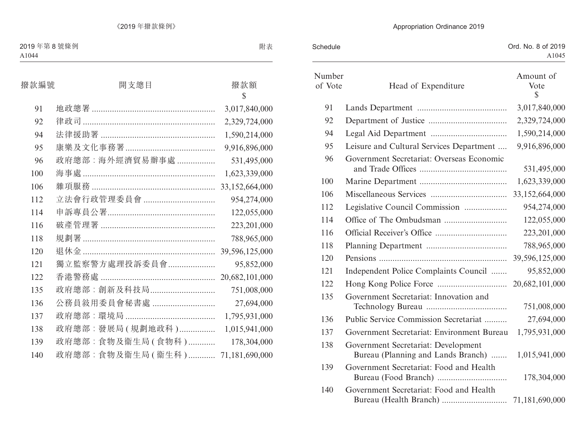| Schedule          |                                                                           | Ord. No. 8 of 2019<br>A1045       |
|-------------------|---------------------------------------------------------------------------|-----------------------------------|
| Number<br>of Vote | Head of Expenditure                                                       | Amount of<br>Vote<br>$\mathbb{S}$ |
| 91                |                                                                           | 3,017,840,000                     |
| 92                |                                                                           | 2,329,724,000                     |
| 94                |                                                                           | 1,590,214,000                     |
| 95                | Leisure and Cultural Services Department                                  | 9,916,896,000                     |
| 96                | Government Secretariat: Overseas Economic                                 | 531,495,000                       |
| 100               |                                                                           | 1,623,339,000                     |
| 106               |                                                                           | 33,152,664,000                    |
| 112               | Legislative Council Commission                                            | 954,274,000                       |
| 114               |                                                                           | 122,055,000                       |
| 116               |                                                                           | 223,201,000                       |
| 118               |                                                                           | 788,965,000                       |
| 120               |                                                                           | 39,596,125,000                    |
| 121               | Independent Police Complaints Council                                     | 95,852,000                        |
| 122               |                                                                           | 20,682,101,000                    |
| 135               | Government Secretariat: Innovation and                                    | 751,008,000                       |
| 136               | Public Service Commission Secretariat                                     | 27,694,000                        |
| 137               | Government Secretariat: Environment Bureau                                | 1,795,931,000                     |
| 138               | Government Secretariat: Development<br>Bureau (Planning and Lands Branch) | 1,015,941,000                     |
| 139               | Government Secretariat: Food and Health                                   | 178,304,000                       |
| 140               | Government Secretariat: Food and Health                                   |                                   |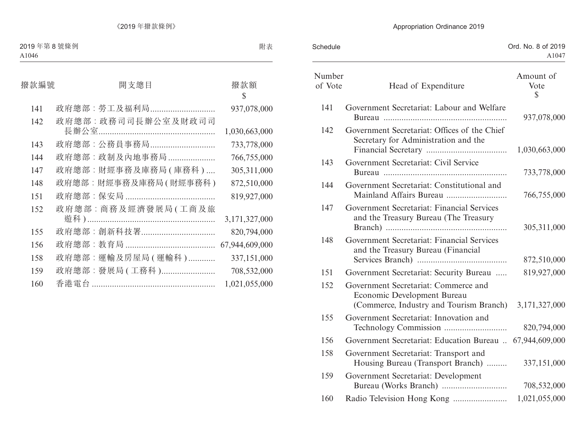| Schedule          |                                                                                                                | Ord. No. 8 of 2019<br>A1047       |
|-------------------|----------------------------------------------------------------------------------------------------------------|-----------------------------------|
| Number<br>of Vote | Head of Expenditure                                                                                            | Amount of<br>Vote<br>$\mathbb{S}$ |
| 141               | Government Secretariat: Labour and Welfare                                                                     | 937,078,000                       |
| 142               | Government Secretariat: Offices of the Chief<br>Secretary for Administration and the                           | 1,030,663,000                     |
| 143               | Government Secretariat: Civil Service                                                                          | 733,778,000                       |
| 144               | Government Secretariat: Constitutional and                                                                     | 766,755,000                       |
| 147               | Government Secretariat: Financial Services<br>and the Treasury Bureau (The Treasury                            | 305,311,000                       |
| 148               | Government Secretariat: Financial Services<br>and the Treasury Bureau (Financial                               | 872,510,000                       |
| 151               | Government Secretariat: Security Bureau                                                                        | 819,927,000                       |
| 152               | Government Secretariat: Commerce and<br>Economic Development Bureau<br>(Commerce, Industry and Tourism Branch) | 3,171,327,000                     |
| 155               | Government Secretariat: Innovation and                                                                         | 820,794,000                       |
| 156               | Government Secretariat: Education Bureau  67,944,609,000                                                       |                                   |
| 158               | Government Secretariat: Transport and<br>Housing Bureau (Transport Branch)                                     | 337,151,000                       |
| 159               | Government Secretariat: Development                                                                            | 708,532,000                       |
| 160               |                                                                                                                | 1,021,055,000                     |